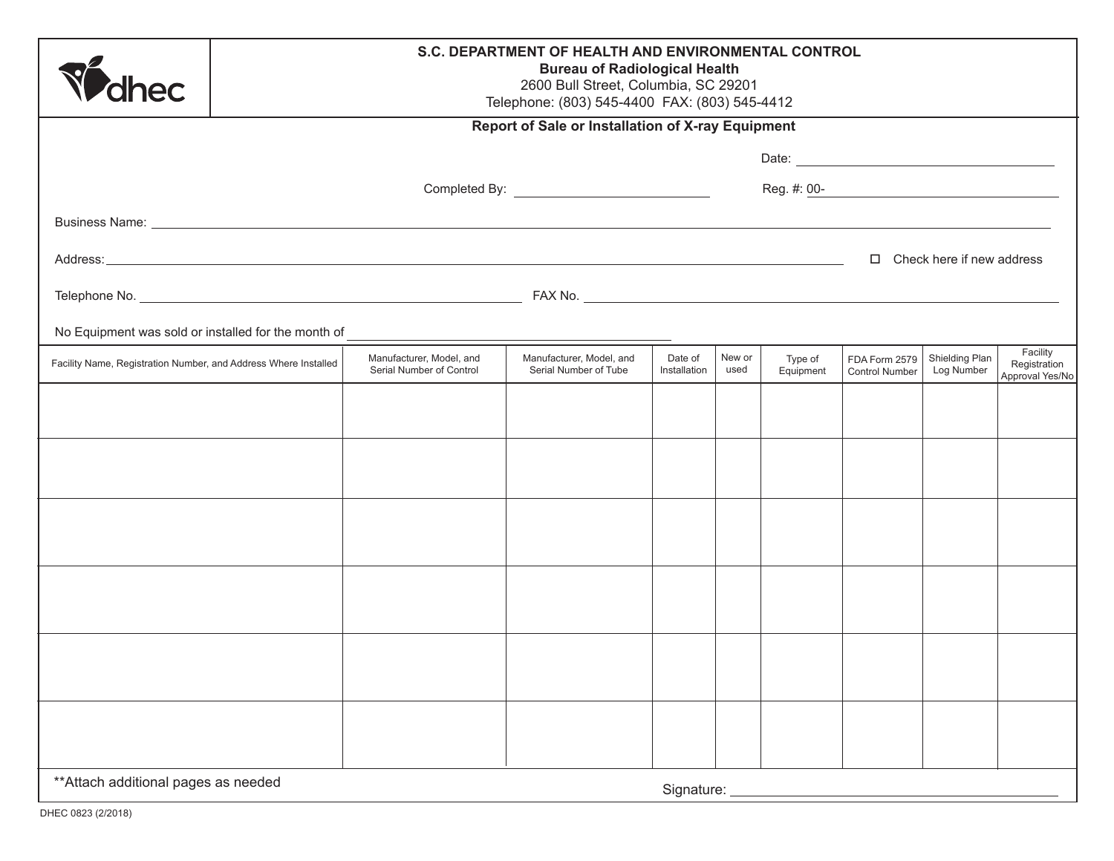| <b>'dhec</b>                                                    | S.C. DEPARTMENT OF HEALTH AND ENVIRONMENTAL CONTROL<br><b>Bureau of Radiological Health</b><br>2600 Bull Street, Columbia, SC 29201<br>Telephone: (803) 545-4400 FAX: (803) 545-4412 |                                                                                                                                                                                                                                      |                                                   |                         |                |                      |                                        |                              |                                             |
|-----------------------------------------------------------------|--------------------------------------------------------------------------------------------------------------------------------------------------------------------------------------|--------------------------------------------------------------------------------------------------------------------------------------------------------------------------------------------------------------------------------------|---------------------------------------------------|-------------------------|----------------|----------------------|----------------------------------------|------------------------------|---------------------------------------------|
| Report of Sale or Installation of X-ray Equipment               |                                                                                                                                                                                      |                                                                                                                                                                                                                                      |                                                   |                         |                |                      |                                        |                              |                                             |
|                                                                 |                                                                                                                                                                                      |                                                                                                                                                                                                                                      |                                                   |                         |                |                      |                                        |                              |                                             |
|                                                                 | Completed By: <u>_______________________________</u>                                                                                                                                 |                                                                                                                                                                                                                                      |                                                   |                         |                |                      |                                        |                              |                                             |
|                                                                 |                                                                                                                                                                                      | Business Name: <u>example and the second second second second second second second second second second second second second second second second second second second second second second second second second second second s</u> |                                                   |                         |                |                      |                                        |                              |                                             |
|                                                                 |                                                                                                                                                                                      |                                                                                                                                                                                                                                      |                                                   |                         |                |                      | $\Box$ Check here if new address       |                              |                                             |
|                                                                 |                                                                                                                                                                                      |                                                                                                                                                                                                                                      |                                                   |                         |                |                      |                                        |                              |                                             |
| No Equipment was sold or installed for the month of             |                                                                                                                                                                                      |                                                                                                                                                                                                                                      |                                                   |                         |                |                      |                                        |                              |                                             |
| Facility Name, Registration Number, and Address Where Installed |                                                                                                                                                                                      | Manufacturer, Model, and<br>Serial Number of Control                                                                                                                                                                                 | Manufacturer, Model, and<br>Serial Number of Tube | Date of<br>Installation | New or<br>used | Type of<br>Equipment | FDA Form 2579<br><b>Control Number</b> | Shielding Plan<br>Log Number | Facility<br>Registration<br>Approval Yes/No |
|                                                                 |                                                                                                                                                                                      |                                                                                                                                                                                                                                      |                                                   |                         |                |                      |                                        |                              |                                             |
|                                                                 |                                                                                                                                                                                      |                                                                                                                                                                                                                                      |                                                   |                         |                |                      |                                        |                              |                                             |
|                                                                 |                                                                                                                                                                                      |                                                                                                                                                                                                                                      |                                                   |                         |                |                      |                                        |                              |                                             |
|                                                                 |                                                                                                                                                                                      |                                                                                                                                                                                                                                      |                                                   |                         |                |                      |                                        |                              |                                             |
|                                                                 |                                                                                                                                                                                      |                                                                                                                                                                                                                                      |                                                   |                         |                |                      |                                        |                              |                                             |
|                                                                 |                                                                                                                                                                                      |                                                                                                                                                                                                                                      |                                                   |                         |                |                      |                                        |                              |                                             |
|                                                                 |                                                                                                                                                                                      |                                                                                                                                                                                                                                      |                                                   |                         |                |                      |                                        |                              |                                             |
|                                                                 |                                                                                                                                                                                      |                                                                                                                                                                                                                                      |                                                   |                         |                |                      |                                        |                              |                                             |
|                                                                 |                                                                                                                                                                                      |                                                                                                                                                                                                                                      |                                                   |                         |                |                      |                                        |                              |                                             |
|                                                                 |                                                                                                                                                                                      |                                                                                                                                                                                                                                      |                                                   |                         |                |                      |                                        |                              |                                             |
|                                                                 |                                                                                                                                                                                      |                                                                                                                                                                                                                                      |                                                   |                         |                |                      |                                        |                              |                                             |
| ** Attach additional pages as needed<br>Signature:              |                                                                                                                                                                                      |                                                                                                                                                                                                                                      |                                                   |                         |                |                      |                                        |                              |                                             |